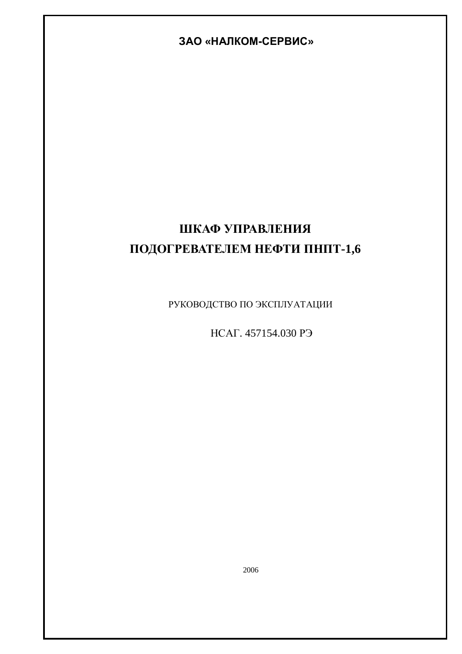# **ɁȺɈ «ɇȺɅɄɈɆɋȿɊȼɂɋ»**

# ШКАФ УПРАВЛЕНИЯ ПОДОГРЕВАТЕЛЕМ НЕФТИ ПНПТ-1,6

РУКОВОДСТВО ПО ЭКСПЛУАТАЦИИ

HCAT. 457154.030 PЭ

2006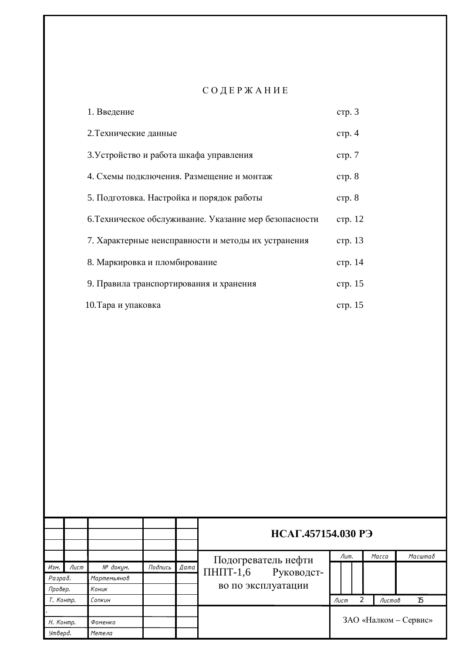# СОДЕРЖАНИЕ

| 1. Введение                                            | crp.3   |
|--------------------------------------------------------|---------|
| 2. Технические данные                                  | crp. 4  |
| 3. Устройство и работа шкафа управления                | crp. 7  |
| 4. Схемы подключения. Размещение и монтаж              | crp. 8  |
| 5. Подготовка. Настройка и порядок работы              | crp. 8  |
| 6. Техническое обслуживание. Указание мер безопасности | стр. 12 |
| 7. Характерные неисправности и методы их устранения    | стр. 13 |
| 8. Маркировка и пломбирование                          | стр. 14 |
| 9. Правила транспортирования и хранения                | стр. 15 |
| 10. Тара и упаковка                                    | стр. 15 |

|           |      |             |         |      |                     | НСАГ.457154.030 РЭ    |  |  |  |              |         |  |
|-----------|------|-------------|---------|------|---------------------|-----------------------|--|--|--|--------------|---------|--|
|           |      |             |         |      | Подогреватель нефти | Лит.                  |  |  |  | Масса        | Масштаδ |  |
| Изм.      | Лист | № докум.    | Подпись | Дата | $\Pi$ H $\Pi$ T-1,6 |                       |  |  |  |              |         |  |
| Разраб.   |      | Мартемьянов |         |      | Руководст-          |                       |  |  |  |              |         |  |
| Провер.   |      | Коник       |         |      | во по эксплуатации  |                       |  |  |  |              |         |  |
| Т. Контр. |      | Сопкин      |         |      |                     | Лист                  |  |  |  | 15<br>Листов |         |  |
|           |      |             |         |      |                     |                       |  |  |  |              |         |  |
| Н. Контр. |      | Фоменко     |         |      |                     | ЗАО «Налком - Сервис» |  |  |  |              |         |  |
| Утверд.   |      | Метела      |         |      |                     |                       |  |  |  |              |         |  |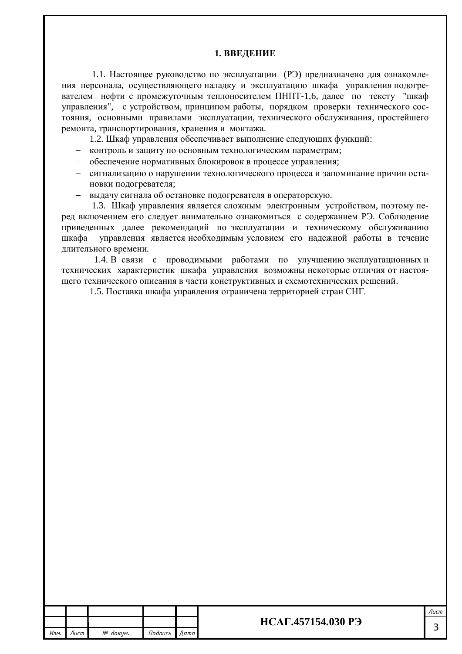#### **1. ВВЕДЕНИЕ**

1.1. Настоящее руководство по эксплуатации (РЭ) предназначено для ознакомления персонала, осуществляющего наладку и эксплуатацию шкафа управления подогревателем нефти с промежуточным теплоносителем ПНПТ-1,6, далее по тексту "шкаф управления", с устройством, принципом работы, порядком проверки технического состояния, основными правилами эксплуатации, технического обслуживания, простейшего ремонта, транспортирования, хранения и монтажа.

1.2. Шкаф управления обеспечивает выполнение следующих функций:

- контроль и защиту по основным технологическим параметрам;
- = обеспечение нормативных блокировок в процессе управления;
- сигнализацию о нарушении технологического процесса и запоминание причин остановки подогревателя;
- выдачу сигнала об остановке подогревателя в операторскую.

1.3. Шкаф управления является сложным электронным устройством, поэтому перед включением его следует внимательно ознакомиться с содержанием РЭ. Соблюдение приведенных далее рекомендаций по эксплуатации и техническому обслуживанию шкафа управления является необходимым условием его надежной работы в течение длительного времени.

1.4. В связи с проводимыми работами по улучшению эксплуатационных и технических характеристик шкафа управления возможны некоторые отличия от настоящего технического описания в части конструктивных и схемотехнических решений.

1.5. Поставка шкафа управления ограничена территорией стран СНГ.

|      |      |          |         |       |                           | Лисп       |
|------|------|----------|---------|-------|---------------------------|------------|
|      |      |          |         |       | <b>НСАГ.457154.030 РЭ</b> | $\sqrt{2}$ |
| Изм. | Лист | № доким. | Подпись | Дата' |                           |            |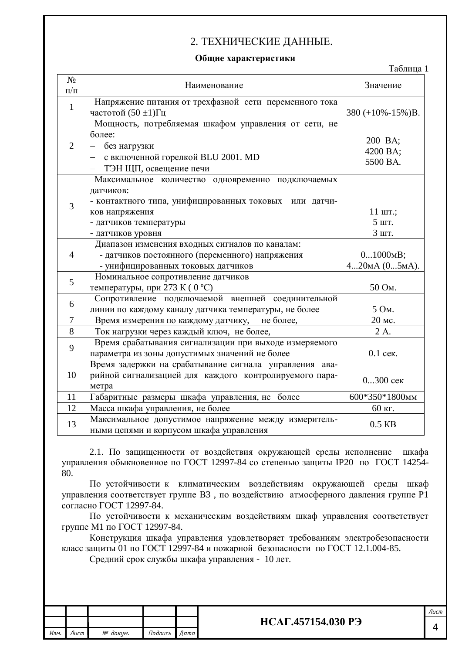# 2. ТЕХНИЧЕСКИЕ ДАННЫЕ.

#### Общие характеристики

| $N_2$          |                                                        |                         |
|----------------|--------------------------------------------------------|-------------------------|
| $\Pi/\Pi$      | Наименование                                           | Значение                |
| $\mathbf{1}$   | Напряжение питания от трехфазной сети переменного тока |                         |
|                | частотой $(50 \pm 1)\Gamma$ ц                          | 380 $(+10\% -15\%)B$ .  |
|                | Мощность, потребляемая шкафом управления от сети, не   |                         |
|                | более:                                                 | 200 BA;                 |
| $\overline{2}$ | без нагрузки                                           | 4200 BA;                |
|                | с включенной горелкой BLU 2001. MD                     | 5500 BA.                |
|                | ТЭН ЩП, освещение печи                                 |                         |
|                | Максимальное количество одновременно подключаемых      |                         |
|                | датчиков:                                              |                         |
| 3              | - контактного типа, унифицированных токовых или датчи- |                         |
|                | ков напряжения                                         | $11 \text{ mT}$ .;      |
|                | - датчиков температуры                                 | 5 шт.                   |
|                | - датчиков уровня                                      | 3 шт.                   |
|                | Диапазон изменения входных сигналов по каналам:        |                         |
| $\overline{4}$ | - датчиков постоянного (переменного) напряжения        | $01000$ <sub>M</sub> B; |
|                | - унифицированных токовых датчиков                     | 420мА (05мА).           |
| 5              | Номинальное сопротивление датчиков                     |                         |
|                | температуры, при 273 К (0 °С)                          | 50 Ом.                  |
| 6              | Сопротивление подключаемой внешней соединительной      |                         |
|                | линии по каждому каналу датчика температуры, не более  | 5 Ом.                   |
| 7              | не более,<br>Время измерения по каждому датчику,       | 20 мс.                  |
| 8              | Ток нагрузки через каждый ключ, не более,              | 2 A.                    |
| 9              | Время срабатывания сигнализации при выходе измеряемого |                         |
|                | параметра из зоны допустимых значений не более         | 0.1 сек.                |
|                | Время задержки на срабатывание сигнала управления ава- |                         |
| 10             | рийной сигнализацией для каждого контролируемого пара- | $0300$ сек              |
|                | метра                                                  |                         |
| 11             | Габаритные размеры шкафа управления, не более          | 600*350*1800мм          |
| 12             | Масса шкафа управления, не более                       | 60 кг.                  |
| 13             | Максимальное допустимое напряжение между измеритель-   | $0.5$ KB                |
|                | ными цепями и корпусом шкафа управления                |                         |

2.1. По защищенности от воздействия окружающей среды исполнение шкафа управления обыкновенное по ГОСТ 12997-84 со степенью защиты IP20 по ГОСТ 14254-80.

По устойчивости к климатическим воздействиям окружающей среды шкаф управления соответствует группе В3, по воздействию атмосферного давления группе Р1 согласно ГОСТ 12997-84.

По устойчивости к механическим воздействиям шкаф управления соответствует группе М1 по ГОСТ 12997-84.

Конструкция шкафа управления удовлетворяет требованиям электробезопасности класс защиты 01 по ГОСТ 12997-84 и пожарной безопасности по ГОСТ 12.1.004-85.

Средний срок службы шкафа управления - 10 лет.

|      |      |          |         |        |                    | Лист |
|------|------|----------|---------|--------|--------------------|------|
|      |      |          |         |        | НСАГ.457154.030 РЭ |      |
| Изм. | Лист | № докцм. | Подпись | Дата ∎ |                    |      |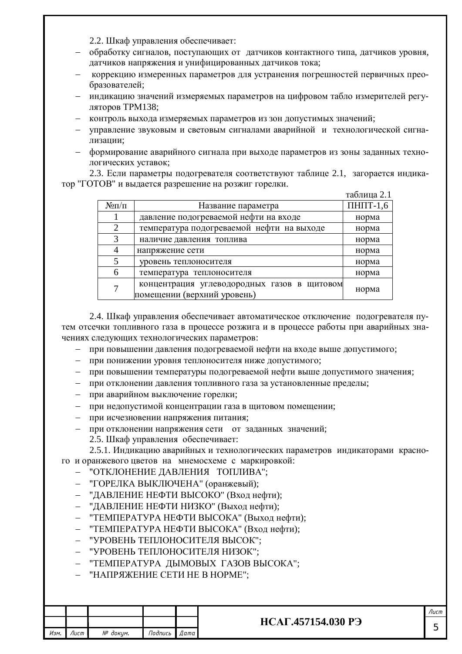2.2. Шкаф управления обеспечивает:

- обработку сигналов, поступающих от латчиков контактного типа, латчиков уровня, датчиков напряжения и унифицированных датчиков тока;
- коррекцию измеренных параметров для устранения погрешностей первичных преобразователей;
- индикацию значений измеряемых параметров на цифровом табло измерителей регуляторов ТРМ138;
- контроль выхода измеряемых параметров из зон допустимых значений;
- управление звуковым и световым сигналами аварийной и технологической сигнализации;
- = формирование аварийного сигнала при выходе параметров из зоны заданных технологических уставок;

2.3. Если параметры подогревателя соответствуют таблице 2.1, загорается индикатор "ГОТОВ" и выдается разрешение на розжиг горелки.

|                |                                                                            | таблица 2.1         |
|----------------|----------------------------------------------------------------------------|---------------------|
| $N \Omega/\Pi$ | Название параметра                                                         | $\Pi$ H $\Pi$ T-1,6 |
|                | давление подогреваемой нефти на входе                                      | норма               |
|                | температура подогреваемой нефти на выходе                                  | норма               |
| 3              | наличие давления топлива                                                   | норма               |
|                | напряжение сети                                                            | норма               |
|                | уровень теплоносителя                                                      | норма               |
| 6              | температура теплоносителя                                                  | норма               |
|                | концентрация углеводородных газов в щитовом<br>помещении (верхний уровень) | норма               |

2.4. Шкаф управления обеспечивает автоматическое отключение подогревателя путем отсечки топливного газа в процессе розжига и в процессе работы при аварийных значениях следующих технологических параметров:

- при повышении давления подогреваемой нефти на входе выше допустимого;
- при понижении уровня теплоносителя ниже допустимого;
- при повышении температуры подогреваемой нефти выше допустимого значения:
- при отклонении давления топливного газа за установленные пределы;
- при аварийном выключение горелки;
- при недопустимой концентрации газа в шитовом помешении:
- при исчезновении напряжения питания;
- при отклонении напряжения сети от заданных значений;
	- 2.5. Шкаф управления обеспечивает:

2.5.1. Индикацию аварийных и технологических параметров индикаторами красного и оранжевого цветов на мнемосхеме с маркировкой:

- "ОТКЛОНЕНИЕ ДАВЛЕНИЯ ТОПЛИВА":
- "ГОРЕЛКА ВЫКЛЮЧЕНА" (оранжевый);
- "ДАВЛЕНИЕ НЕФТИ ВЫСОКО" (Вход нефти);
- "ДАВЛЕНИЕ НЕФТИ НИЗКО" (Выход нефти);
- "ТЕМПЕРАТУРА НЕФТИ ВЫСОКА" (Выхол нефти);
- "ТЕМПЕРАТУРА НЕФТИ ВЫСОКА" (Вход нефти);
- "УРОВЕНЬ ТЕПЛОНОСИТЕЛЯ ВЫСОК":
- "УРОВЕНЬ ТЕПЛОНОСИТЕЛЯ НИЗОК";
- "ТЕМПЕРАТУРА ДЫМОВЫХ ГАЗОВ ВЫСОКА";
- "НАПРЯЖЕНИЕ СЕТИ НЕ В НОРМЕ";

|      |      |          |         |      |                    | Лист |
|------|------|----------|---------|------|--------------------|------|
|      |      |          |         |      | НСАГ.457154.030 РЭ |      |
| Изм. | Лист | № докум. | Подпись | Дата |                    |      |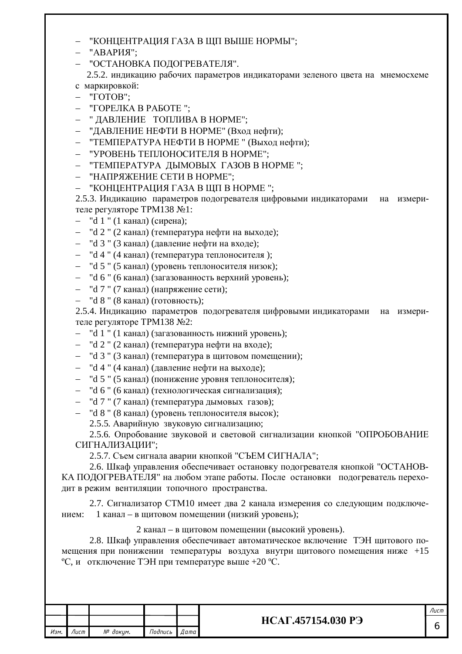- "КОНЦЕНТРАЦИЯ ГАЗА В ЩП ВЫШЕ НОРМЫ";
- "АВАРИЯ";
- "ОСТАНОВКА ПОДОГРЕВАТЕЛЯ".

2.5.2. индикацию рабочих параметров индикаторами зеленого цвета на мнемосхеме с маркировкой:

- "TOTOB";
- "ГОРЕЛКА В РАБОТЕ":
- "ДАВЛЕНИЕ ТОПЛИВА В НОРМЕ";
- "ДАВЛЕНИЕ НЕФТИ В НОРМЕ" (Вход нефти);
- "ТЕМПЕРАТУРА НЕФТИ В НОРМЕ" (Выход нефти);
- "УРОВЕНЬ ТЕПЛОНОСИТЕЛЯ В НОРМЕ";
- "ТЕМПЕРАТУРА ДЫМОВЫХ ГАЗОВ В НОРМЕ";
- "НАПРЯЖЕНИЕ СЕТИ В НОРМЕ";
- "КОНЦЕНТРАЦИЯ ГАЗА В ЩП В НОРМЕ";

2.5.3. Индикацию параметров подогревателя цифровыми индикаторами на измерителе регуляторе ТРМ138 №1:

- $-$  "d 1" (1 канал) (сирена);
- "d 2 " (2 канал) (температура нефти на выходе);
- "d 3" (3 канал) (давление нефти на входе);
- "d 4 " (4 канал) (температура теплоносителя);
- "d 5" (5 канал) (уровень теплоносителя низок);
- "d 6" (6 канал) (загазованность верхний уровень);
- "d 7" (7 канал) (напряжение сети);
- "d 8" (8 канал) (готовность);

2.5.4. Индикацию параметров подогревателя цифровыми индикаторами на измерителе регуляторе ТРМ138 №2:

- "d 1 " (1 канал) (загазованность нижний уровень);
- "d 2" (2 канал) (температура нефти на входе);
- "d 3" (3 канал) (температура в щитовом помещении);
- "d 4 " (4 канал) (давление нефти на выходе);
- "d 5 " (5 канал) (понижение уровня теплоносителя);
- "d 6" (6 канал) (технологическая сигнализация);
- "d 7 " (7 канал) (температура дымовых газов);
- "d 8" (8 канал) (уровень теплоносителя высок);

2.5.5. Аварийную звуковую сигнализацию;

2.5.6. Опробование звуковой и световой сигнализации кнопкой "ОПРОБОВАНИЕ СИГНАЛИЗАЦИИ";

2.5.7. Съем сигнала аварии кнопкой "СЪЕМ СИГНАЛА";

2.6. Шкаф управления обеспечивает остановку пологревателя кнопкой "ОСТАНОВ-КА ПОДОГРЕВАТЕЛЯ" на любом этапе работы. После остановки подогреватель переходит в режим вентиляции топочного пространства.

2.7. Сигнализатор СТМ10 имеет два 2 канала измерения со следующим подключением: 1 канал – в щитовом помещении (низкий уровень);

#### 2 канал – в щитовом помещении (высокий уровень).

2.8. Шкаф управления обеспечивает автоматическое включение ТЭН щитового помешения при понижении температуры воздуха внутри шитового помешения ниже  $+15$ °С, и отключение ТЭН при температуре выше +20 °С.

| Лист               |                 |          |      |      |
|--------------------|-----------------|----------|------|------|
| НСАГ.457154.030 РЭ |                 |          |      |      |
|                    | Подпись<br>Дата | № докум. | Лист | Изм. |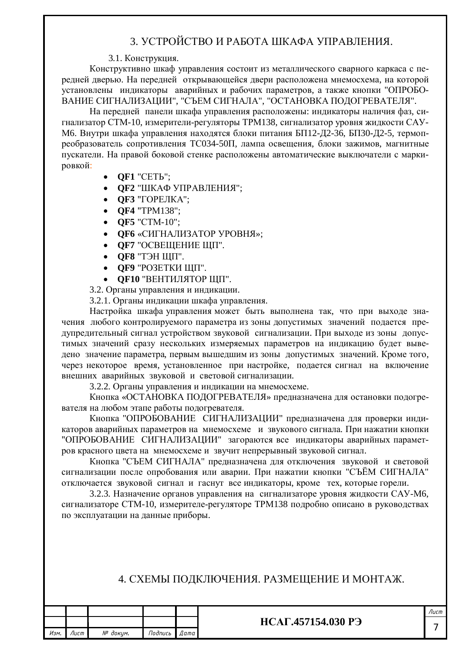# З. УСТРОЙСТВО И РАБОТА ШКАФА УПРАВЛЕНИЯ.

### 3.1. Конструкция.

Конструктивно шкаф управления состоит из металлического сварного каркаса с передней дверью. На передней открывающейся двери расположена мнемосхема, на которой установлены индикаторы аварийных и рабочих параметров, а также кнопки "ОПРОБО-ВАНИЕ СИГНАЛИЗАЦИИ", "СЪЕМ СИГНАЛА", "ОСТАНОВКА ПОДОГРЕВАТЕЛЯ".

На передней панели шкафа управления расположены: индикаторы наличия фаз, сигнализатор СТМ-10, измерители-регуляторы ТРМ138, сигнализатор уровня жидкости САУ-М6. Внутри шкафа управления находятся блоки питания БП12-Д2-36, БП30-Д2-5, термопреобразователь сопротивления ТС034-50П, лампа освещения, блоки зажимов, магнитные пускатели. На правой боковой стенке расположены автоматические выключатели с маркировкой:

- **QF1** "CETL";
- **QF2 "ШКАФ УПРАВЛЕНИЯ";**
- **QF3** "ГОРЕЛКА";
- **OF4** "TPM138":
- **QF5** "CTM-10";
- **ОF6** «СИГНАЛИЗАТОР УРОВНЯ»;
- **ОF7** "ОСВЕЩЕНИЕ ЩП".
- ОF8 "ТЭН ЩП".
- **OF9 "PO3ETKH IIIII".**
- **ОF10 "ВЕНТИЛЯТОР ШП".**

3.2. Органы управления и индикации.

3.2.1. Органы индикации шкафа управления.

Настройка шкафа управления может быть выполнена так, что при выходе значения любого контролируемого параметра из зоны допустимых значений подается предупредительный сигнал устройством звуковой сигнализации. При выходе из зоны допустимых значений сразу нескольких измеряемых параметров на индикацию будет выведено значение параметра, первым вышедшим из зоны допустимых значений. Кроме того, через некоторое время, установленное при настройке, подается сигнал на включение внешних аварийных звуковой и световой сигнализации.

3.2.2. Органы управления и индикации на мнемосхеме.

Кнопка «ОСТАНОВКА ПОДОГРЕВАТЕЛЯ» предназначена для остановки подогревателя на любом этапе работы подогревателя.

Кнопка "ОПРОБОВАНИЕ СИГНАЛИЗАЦИИ" предназначена для проверки индикаторов аварийных параметров на мнемосхеме и звукового сигнала. При нажатии кнопки "ОПРОБОВАНИЕ СИГНАЛИЗАЦИИ" загораются все индикаторы аварийных параметров красного цвета на мнемосхеме и звучит непрерывный звуковой сигнал.

Кнопка "СЪЕМ СИГНАЛА" предназначена для отключения звуковой и световой сигнализации после опробования или аварии. При нажатии кнопки "СЪЁМ СИГНАЛА" отключается звуковой сигнал и гаснут все индикаторы, кроме тех, которые горели.

3.2.3. Назначение органов управления на сигнализаторе уровня жидкости САУ-М6, сигнализаторе СТМ-10, измерителе-регуляторе ТРМ138 подробно описано в руководствах по эксплуатации на данные приборы.

## 4. СХЕМЫ ПОДКЛЮЧЕНИЯ. РАЗМЕЩЕНИЕ И МОНТАЖ.

|      |      |          |         |             |                    | Лисп |
|------|------|----------|---------|-------------|--------------------|------|
|      |      |          |         |             | НСАГ.457154.030 РЭ |      |
| Изм. | Лист | № доким. | Подпись | <i>Дата</i> |                    |      |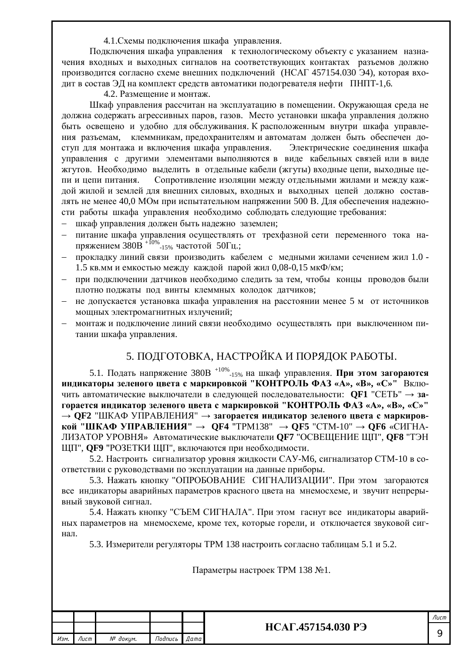4.1. Схемы подключения шкафа управления.

Подключения шкафа управления к технологическому объекту с указанием назначения входных и выходных сигналов на соответствующих контактах разъемов должно производится согласно схеме внешних подключений (НСАГ 457154.030 Э4), которая входит в состав ЭД на комплект средств автоматики подогревателя нефти ПНПТ-1,6.

4.2. Размещение и монтаж.

Шкаф управления рассчитан на эксплуатацию в помещении. Окружающая среда не должна содержать агрессивных паров, газов. Место установки шкафа управления должно быть освещено и удобно для обслуживания. К расположенным внутри шкафа управления разъемам, клеммникам, предохранителям и автоматам должен быть обеспечен доступ для монтажа и включения шкафа управления. Электрические соединения шкафа управления с другими элементами выполняются в виде кабельных связей или в виде жгутов. Необходимо выделить в отдельные кабели (жгуты) входные цепи, выходные цепи и цепи питания. Сопротивление изоляции между отдельными жилами и между каждой жилой и землей для внешних силовых, входных и выходных цепей должно составдять не менее 40,0 МОм при испытательном напряжении 500 В. Для обеспечения надежности работы шкафа управления необходимо соблюдать следующие требования:

- шкаф управления должен быть надежно заземлен;
- питание шкафа управления осушествлять от трехфазной сети переменного тока напряжением З $\overline{80B}$  <sup>+10%</sup>-15% частотой 50Гц.;
- прокладку линий связи производить кабелем с медными жилами сечением жил 1.0 -1.5 кв. мм и емкостью между каждой парой жил 0,08-0,15 мкФ/км;
- при подключении датчиков необходимо следить за тем, чтобы концы проводов были плотно поджаты под винты клеммных колодок датчиков;
- не допускается установка шкафа управления на расстоянии менее 5 м от источников мощных электромагнитных излучений;
- монтаж и подключение линий связи необходимо осуществлять при выключенном питании шкафа управления.

# 5. ПОДГОТОВКА, НАСТРОЙКА И ПОРЯДОК РАБОТЫ.

5.1. Подать напряжение 380В <sup>+10%</sup>-15% на шкаф управления. **При этом загораются индикаторы зеленого цвета с маркировкой "КОНТРОЛЬ ФАЗ «А», «В», «С»"** Включить автоматические выключатели в следующей последовательности: **QF1** "СЕТЬ" → за-Горается индикатор зеленого цвета с маркировкой "КОНТРОЛЬ ФАЗ «А», «В», «С»" → **ОF2** "ШКАФ УПРАВЛЕНИЯ" → загорается индикатор зеленого пвета с маркиров**кой "ШКАФ УПРАВЛЕНИЯ" → QF4 "ТРМ138" → QF5 "СТМ-10" → QF6 «СИГНА-**ЛИЗАТОР УРОВНЯ» Автоматические выключатели **QF7** "ОСВЕЩЕНИЕ ЩП", **QF8** "ТЭН ЩП", **QF9** "РОЗЕТКИ ЩП", включаются при необходимости.

5.2. Настроить сигнализатор уровня жидкости САУ-М6, сигнализатор СТМ-10 в соответствии с руководствами по эксплуатации на данные приборы.

5.3. Нажать кнопку "ОПРОБОВАНИЕ СИГНАЛИЗАЦИИ". При этом загораются все индикаторы аварийных параметров красного цвета на мнемосхеме, и звучит непрерывный звуковой сигнал.

5.4. Нажать кнопку "СЪЕМ СИГНАЛА". При этом гаснут все индикаторы аварийных параметров на мнемосхеме, кроме тех, которые горели, и отключается звуковой сигнал.

5.3. Измерители регуляторы ТРМ 138 настроить согласно таблицам 5.1 и 5.2.

Параметры настроек ТРМ 138 №1.

|      |      |          |         |      |                           | /Іист |
|------|------|----------|---------|------|---------------------------|-------|
|      |      |          |         |      | <b>HCAF.457154.030 PH</b> |       |
| Изм. | Лист | № докум. | Подпись | Дата |                           |       |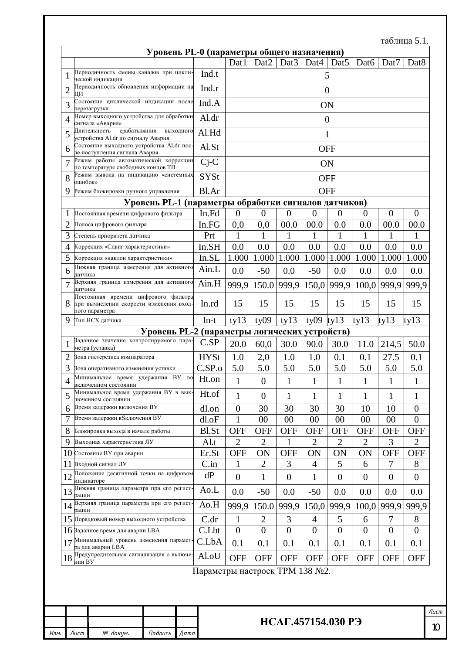|                |         |                                                                                                   |                                                      |           |                                |                  |                  |                                      |                  |                  |                  | таблица 5.1.   |                  |
|----------------|---------|---------------------------------------------------------------------------------------------------|------------------------------------------------------|-----------|--------------------------------|------------------|------------------|--------------------------------------|------------------|------------------|------------------|----------------|------------------|
|                |         |                                                                                                   | Уровень PL-0 (параметры общего назначения)           |           |                                | Dat1             | Dat2             | Dat <sub>3</sub>                     | Dat4             | Dat <sub>5</sub> | Dat <sub>6</sub> | Dat7           | Dat <sub>8</sub> |
| 1              |         | Периодичность смены каналов при цикли-                                                            |                                                      |           | Ind.t                          |                  |                  |                                      |                  | 5                |                  |                |                  |
|                |         | ческой индикации<br>Периодичность обновления информации на                                        |                                                      |           | Ind.r                          |                  |                  |                                      |                  |                  |                  |                |                  |
| $\overline{2}$ | ЦИ      | Состояние циклической индикации после                                                             |                                                      |           |                                |                  |                  |                                      | $\boldsymbol{0}$ |                  |                  |                |                  |
| 3              |         | перезагрузки                                                                                      |                                                      |           | Ind.A                          |                  |                  |                                      | <b>ON</b>        |                  |                  |                |                  |
| 4              |         | Номер выходного устройства для обработки<br>сигнала «Авария»                                      |                                                      |           | Al.dr                          |                  |                  |                                      | $\overline{0}$   |                  |                  |                |                  |
| 5              |         | срабатывания<br>Длительность<br>устройства Al.dr по сигналу Авария                                | выходного                                            |           | Al.Hd                          |                  |                  |                                      |                  | 1                |                  |                |                  |
| 6              |         | Состояние выходного устройства Al.dr пос-<br>ле поступления сигнала Авария                        |                                                      |           | Al.St                          |                  |                  |                                      | <b>OFF</b>       |                  |                  |                |                  |
| 7              |         | Режим работы автоматической коррекции<br>по температуре свободных концов ТП                       |                                                      |           | $Cj-C$                         |                  |                  |                                      |                  | ON               |                  |                |                  |
| 8              | ошибок» | Режим вывода на индикацию «системных                                                              |                                                      |           | <b>SYSt</b>                    |                  |                  |                                      | <b>OFF</b>       |                  |                  |                |                  |
| 9              |         | Режим блокировки ручного управления                                                               |                                                      |           | Bl.Ar                          |                  |                  |                                      | <b>OFF</b>       |                  |                  |                |                  |
|                |         |                                                                                                   | Уровень PL-1 (параметры обработки сигналов датчиков) |           |                                |                  |                  |                                      |                  |                  |                  |                |                  |
|                |         | Постоянная времени цифрового фильтра                                                              |                                                      |           | In.Fd                          | $\boldsymbol{0}$ | $\overline{0}$   | $\overline{0}$                       | $\overline{0}$   | $\overline{0}$   | $\overline{0}$   | $\overline{0}$ | $\theta$         |
| $\overline{2}$ |         | Полоса цифрового фильтра                                                                          |                                                      |           | In.FG                          | 0,0              | 0,0              | 00.0                                 | 00.0             | 0.0              | 0.0              | 00.0           | 00.0             |
| 3              |         | Степень приоритета датчика                                                                        |                                                      |           | Prt                            |                  | 1                |                                      |                  | 1                |                  |                | 1                |
| 4              |         | Коррекция «Сдвиг характеристики»                                                                  |                                                      |           | In.SH                          | 0.0              | 0.0              | 0.0                                  | 0.0              | 0.0              | 0.0              | 0.0            | 0.0              |
| 5              |         | Коррекция «наклон характеристики»                                                                 |                                                      |           | In.SL                          | 1.000            | 1.000            | 1.000                                | 1.000            | 1.000            | 1.000            | 1.000          | 1.000            |
| 6              | датчика | Нижняя граница измерения для активного                                                            |                                                      |           | Ain.L                          | 0.0              | $-50$            | 0.0                                  | $-50$            | 0.0              | 0.0              | 0.0            | 0.0              |
| 7              | датчика | Верхняя граница измерения для активного                                                           |                                                      |           | Ain.H                          | 999,9            | 150.0            | 999,9                                |                  | 150,0 999,9      | 100,0            | 999.9          | 999,9            |
|                |         | Постоянная времени цифрового фильтра<br>при вычислении скорости изменения вход-<br>ного параметра |                                                      |           | In.rd                          | 15               | 15               | 15                                   | 15               | 15               | 15               | 15             | 15               |
| 9              |         | Тип НСХ датчика                                                                                   |                                                      |           | $In-t$                         | ty13             | ty09             | ty13                                 | ty09             | ty13             | ty13             | ty13           | $t$ y $13$       |
|                |         |                                                                                                   | Уровень PL-2 (параметры логических устройств)        |           |                                |                  |                  |                                      |                  |                  |                  |                |                  |
| 1              |         | Заданное значение контролируемого пара-<br>метра (уставка)                                        |                                                      |           | C.SP                           | 20.0             | 60,0             | 30.0                                 | 90.0             | 30.0             | 11.0             | 214,5          | 50.0             |
| $\overline{2}$ |         | Зона гистерезиса компаратора                                                                      |                                                      |           | <b>HYSt</b>                    | 1.0              | 2,0              | 1.0                                  | 1.0              | 0.1              | 0.1              | 27.5           | 0.1              |
| 3              |         | Зона оперативного изменения уставки                                                               |                                                      |           | C.SP.o                         | 5.0              | 5.0              | 5.0                                  | 5.0              | 5.0              | 5.0              | 5.0            | 5.0              |
| Δ              |         | Минимальное время удержания ВУ<br>включенном состоянии                                            |                                                      | <b>BO</b> | Ht.on                          | $\mathbf{1}$     | $\boldsymbol{0}$ | $\mathbf{1}$                         | $\mathbf{1}$     | 1                | $\mathbf{1}$     | $\mathbf{1}$   | $\mathbf 1$      |
| 5              |         | Минимальное время удержания ВУ в вык-<br>люченном состоянии                                       |                                                      |           | Ht.of                          | 1                | $\theta$         | 1                                    | 1                | 1                | 1                | 1              | 1                |
| 6              |         | Время задержки включения ВУ                                                                       |                                                      |           | dl.on                          | $\boldsymbol{0}$ | 30               | 30                                   | 30               | 30               | 10               | 10             | $\boldsymbol{0}$ |
| 7              |         | Время задержки в Sключения ВУ                                                                     |                                                      |           | dl.oF                          | 1                | 00               | 00                                   | 00               | 00               | 00               | 00             | $\overline{0}$   |
| 8              |         | Блокировка выхода в начале работы                                                                 |                                                      |           | <b>Bl.St</b>                   | <b>OFF</b>       | <b>OFF</b>       | <b>OFF</b>                           | <b>OFF</b>       | <b>OFF</b>       | <b>OFF</b>       | <b>OFF</b>     | <b>OFF</b>       |
| 9              |         | Выходная характеристика ЛУ                                                                        |                                                      |           | Al.t                           | $\overline{2}$   | $\overline{2}$   |                                      | $\overline{2}$   | $\overline{2}$   | $\overline{2}$   | 3              | $\overline{2}$   |
| 10             |         | Состояние ВУ при аварии                                                                           |                                                      |           | Er.St                          | <b>OFF</b>       | ON               | <b>OFF</b>                           | ON               | ON               | ON               | <b>OFF</b>     | <b>OFF</b>       |
| 11             |         | Входной сигнал ЛУ                                                                                 |                                                      |           | C.in                           | 1                | $\overline{2}$   | 3                                    | $\overline{4}$   | 5                | 6                | 7              | 8                |
| 12             |         | Положение десятичной точки на цифровом<br>индикаторе                                              |                                                      |           | dP                             | $\overline{0}$   | 1                | $\overline{0}$                       | 1                | $\overline{0}$   | $\boldsymbol{0}$ | $\theta$       | $\overline{0}$   |
| 13             | рации   | Нижняя граница параметра при его регист-                                                          |                                                      |           | Ao.L                           | 0.0              | $-50$            | 0.0                                  | $-50$            | 0.0              | 0.0              | 0.0            | 0.0              |
| 14             | рации   | Верхняя граница параметра при его регист-                                                         |                                                      |           | Ao.H                           | 999,9            | 150.0            | 999,9                                | 150,0            | 999,9            | 100,0            | 999,9          | 999,9            |
| 15             |         | Порядковый номер выходного устройства                                                             |                                                      |           | C. dr                          | $\mathbf{1}$     | $\overline{2}$   | 3                                    | $\overline{4}$   | 5                | 6                | 7              | 8                |
|                |         | $16$ Заданное время для аварии LBA                                                                |                                                      |           | C.Lbt                          | $\boldsymbol{0}$ | $\overline{0}$   | $\boldsymbol{0}$                     | $\overline{0}$   | $\overline{0}$   | $\boldsymbol{0}$ | $\overline{0}$ | $\overline{0}$   |
| 17             |         | Минимальный уровень изменения парамет<br>ра для аварии LBA                                        |                                                      |           | C.LbA                          | 0.1              | 0.1              | 0.1                                  | 0.1              | 0.1              | 0.1              | 0.1            | 0.1              |
| 18             | нии ВУ  | Предупредительная сигнализация о включе-                                                          |                                                      |           | Al.oU                          | <b>OFF</b>       | <b>OFF</b>       | <b>OFF</b>                           | <b>OFF</b>       | <b>OFF</b>       | <b>OFF</b>       | <b>OFF</b>     | <b>OFF</b>       |
|                |         |                                                                                                   |                                                      |           | Параметры настроек ТРМ 138 №2. |                  |                  |                                      |                  |                  |                  |                |                  |
|                |         |                                                                                                   |                                                      |           |                                |                  |                  |                                      |                  |                  |                  |                |                  |
|                |         |                                                                                                   |                                                      |           |                                |                  |                  | <b>HCAF.457154.030 P<sub>3</sub></b> |                  |                  |                  |                |                  |
|                |         |                                                                                                   |                                                      |           |                                |                  |                  |                                      |                  |                  |                  |                |                  |

*ucm*<br>10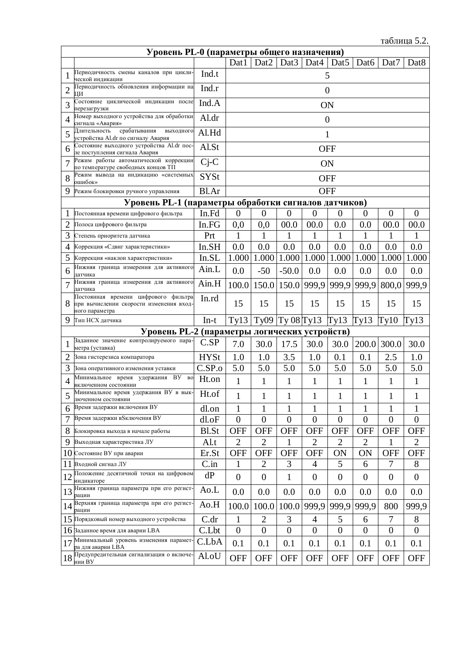|                | Уровень PL-0 (параметры общего назначения)                                                        |              |                  |                  |                  |                   |                  |                  |                |                  |  |  |  |
|----------------|---------------------------------------------------------------------------------------------------|--------------|------------------|------------------|------------------|-------------------|------------------|------------------|----------------|------------------|--|--|--|
|                |                                                                                                   |              | Dat1             | Dat <sub>2</sub> | Dat <sub>3</sub> | Dat4              | Dat <sub>5</sub> | Dat6             | Dat7           | Dat <sub>8</sub> |  |  |  |
|                | Периодичность смены каналов при цикли-<br>ческой индикации                                        | Ind.t        |                  |                  |                  |                   | 5                |                  |                |                  |  |  |  |
| $\overline{c}$ | Периодичность обновления информации на<br>ЦИ                                                      | Ind.r        |                  |                  |                  |                   | $\overline{0}$   |                  |                |                  |  |  |  |
| 3              | Состояние циклической индикации после<br>перезагрузки                                             | Ind.A        |                  |                  |                  | ON                |                  |                  |                |                  |  |  |  |
| $\overline{4}$ | Номер выходного устройства для обработки<br>сигнала «Авария»                                      | Al.dr        |                  |                  |                  |                   | $\boldsymbol{0}$ |                  |                |                  |  |  |  |
| 5              | срабатывания<br>Длительность<br>выходного<br>устройства Al.dr по сигналу Авария                   | Al.Hd        |                  |                  |                  |                   | $\mathbf{1}$     |                  |                |                  |  |  |  |
| 6              | Состояние выходного устройства Al.dr пос-<br>ле поступления сигнала Авария                        | Al.St        |                  |                  |                  | <b>OFF</b>        |                  |                  |                |                  |  |  |  |
| $\overline{7}$ | Режим работы автоматической коррекции<br>по температуре свободных концов ТП                       | $Cj-C$       |                  |                  |                  |                   | ON               |                  |                |                  |  |  |  |
| 8              | Режим вывода на индикацию «системных<br>ошибок»                                                   | <b>SYSt</b>  |                  |                  |                  | <b>OFF</b>        |                  |                  |                |                  |  |  |  |
| 9              | Режим блокировки ручного управления                                                               | Bl.Ar        |                  |                  |                  | <b>OFF</b>        |                  |                  |                |                  |  |  |  |
|                | Уровень PL-1 (параметры обработки сигналов датчиков)                                              |              |                  |                  |                  |                   |                  |                  |                |                  |  |  |  |
| 1              | Постоянная времени цифрового фильтра                                                              | In.Fd        | $\overline{0}$   | $\overline{0}$   | $\boldsymbol{0}$ | $\overline{0}$    | $\overline{0}$   | $\theta$         | $\overline{0}$ | $\overline{0}$   |  |  |  |
| $\overline{2}$ | Полоса цифрового фильтра                                                                          | In.FG        | 0,0              | 0,0              | 00.0             | 00.0              | 0.0              | 0.0              | 00.0           | 00.0             |  |  |  |
| 3              | Степень приоритета датчика                                                                        | Prt          | 1                | $\mathbf{1}$     | 1                | 1                 | $\mathbf{1}$     | 1                |                | 1                |  |  |  |
| 4              | Коррекция «Сдвиг характеристики»                                                                  | In.SH        | 0.0              | 0.0              | 0.0              | 0.0               | 0.0              | 0.0              | 0.0            | 0.0              |  |  |  |
| 5              | Коррекция «наклон характеристики»                                                                 | In.SL        | 1.000            | 1.000            | 1.000            | 1.000             | 1.000            | 1.000            | 1.000          | 1.000            |  |  |  |
| 6              | Нижняя граница измерения для активного<br>датчика                                                 | Ain.L        | 0.0              | $-50$            | $-50.0$          | 0.0               | 0.0              | 0.0              | 0.0            | 0.0              |  |  |  |
| $\overline{7}$ | Нижняя граница измерения для активного<br>датчика                                                 | Ain.H        | 100.0            |                  |                  | 150.0 150.0 999,9 | 999,9            | 999,9            | 800,0          | 999,9            |  |  |  |
| 8              | Постоянная времени цифрового фильтра<br>при вычислении скорости изменения вход-<br>ного параметра | In.rd        | 15               | 15               | 15               | 15                | 15               | 15               | 15             | 15               |  |  |  |
| 9              | Тип НСХ датчика                                                                                   | $In-t$       | Ty13             | Ty09             | Ty 08 Ty13       |                   | Ty13             | Ty13             | Ty10           | Ty13             |  |  |  |
|                | Уровень PL-2 (параметры логических устройств)                                                     |              |                  |                  |                  |                   |                  |                  |                |                  |  |  |  |
| 1              | Заданное значение контролируемого пара-<br>метра (уставка)                                        | C.SP         | 7.0              | 30.0             | 17.5             | 30.0              | 30.0             | 200.0            | 300.0          | 30.0             |  |  |  |
| $\overline{2}$ | Зона гистерезиса компаратора                                                                      | <b>HYSt</b>  | 1.0              | 1.0              | 3.5              | 1.0               | 0.1              | 0.1              | 2.5            | 1.0              |  |  |  |
| 3              | Зона оперативного изменения уставки                                                               | C.SP.o       | 5.0              | 5.0              | 5.0              | 5.0               | 5.0              | 5.0              | 5.0            | 5.0              |  |  |  |
| 4              | Минимальное время удержания ВУ<br>BO<br>включенном состоянии                                      | Ht.on        | $\mathbf{1}$     | 1                | 1                | $\mathbf{1}$      | 1                | 1                | 1              | 1                |  |  |  |
| 5              | Минимальное время удержания ВУ в вык-<br>люченном состоянии                                       | Ht.of        | $\mathbf{1}$     | $\mathbf{1}$     | 1                | $\mathbf{1}$      | $\mathbf{1}$     | $\mathbf{1}$     | $\mathbf{1}$   | $\mathbf{1}$     |  |  |  |
| 6              | Время задержки включения ВУ                                                                       | dl.on        | $\mathbf{1}$     | $\mathbf 1$      | $\mathbf{1}$     | $\mathbf{1}$      | $\mathbf{1}$     | $\mathbf{1}$     | $\mathbf{1}$   | 1                |  |  |  |
| 7              | Время задержки в Sключения B У                                                                    | dl.oF        | $\theta$         | $\overline{0}$   | $\boldsymbol{0}$ | $\boldsymbol{0}$  | $\overline{0}$   | $\theta$         | $\mathbf{0}$   | $\overline{0}$   |  |  |  |
| 8              | Блокировка выхода в начале работы                                                                 | <b>Bl.St</b> | <b>OFF</b>       | <b>OFF</b>       | <b>OFF</b>       | <b>OFF</b>        | <b>OFF</b>       | <b>OFF</b>       | <b>OFF</b>     | <b>OFF</b>       |  |  |  |
| 9              | Выходная характеристика ЛУ                                                                        | Al.t         | $\overline{2}$   | $\overline{2}$   | 1                | $\overline{2}$    | $\overline{2}$   | $\overline{2}$   | 1              | $\overline{2}$   |  |  |  |
| 10             | Состояние ВУ при аварии                                                                           | Er.St        | <b>OFF</b>       | <b>OFF</b>       | <b>OFF</b>       | <b>OFF</b>        | ON               | ON               | <b>OFF</b>     | <b>OFF</b>       |  |  |  |
| 11             | Входной сигнал ЛУ                                                                                 | C.in         | $\mathbf 1$      | $\overline{2}$   | 3                | 4                 | 5                | 6                | 7              | 8                |  |  |  |
| 12             | Положение десятичной точки на цифровом<br>инликаторе                                              | dP           | $\overline{0}$   | $\overline{0}$   | $\mathbf{1}$     | $\boldsymbol{0}$  | $\overline{0}$   | $\boldsymbol{0}$ | $\overline{0}$ | $\boldsymbol{0}$ |  |  |  |
| 13             | Нижняя граница параметра при его регист-<br>рации                                                 | Ao.L         | 0.0              | 0.0              | 0.0              | 0.0               | 0.0              | 0.0              | 0.0            | $0.0\,$          |  |  |  |
| 14             | Верхняя граница параметра при его регист-<br>рации                                                | Ao.H         | 100.0            | 100.0            | 100.0            | 999,9             | 999,9            | 999,9            | 800            | 999,9            |  |  |  |
|                | 15 Порядковый номер выходного устройства                                                          | C.dr         | $\mathbf{1}$     | $\overline{2}$   | 3                | $\overline{4}$    | 5                | 6                | $\overline{7}$ | 8                |  |  |  |
|                | 16 Заданное время для аварии LBA                                                                  | C.Lbt        | $\boldsymbol{0}$ | $\overline{0}$   | $\overline{0}$   | $\overline{0}$    | $\overline{0}$   | $\boldsymbol{0}$ | $\overline{0}$ | $\overline{0}$   |  |  |  |
| 17             | Минимальный уровень изменения парамет-<br>ра для аварии LBA                                       | C.LbA        | 0.1              | 0.1              | 0.1              | 0.1               | 0.1              | 0.1              | 0.1            | 0.1              |  |  |  |
| 18             | Предупредительная сигнализация о включе-<br>нии ВУ                                                | Al.oU        | <b>OFF</b>       | <b>OFF</b>       | <b>OFF</b>       | <b>OFF</b>        | <b>OFF</b>       | <b>OFF</b>       | <b>OFF</b>     | <b>OFF</b>       |  |  |  |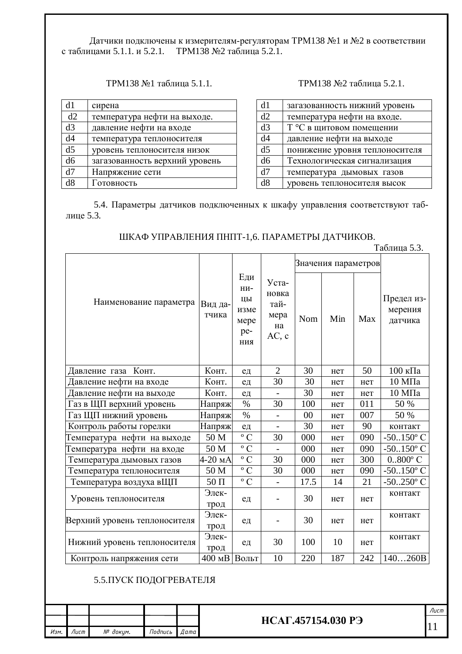Датчики подключены к измерителям-регуляторам ТРМ138 №1 и №2 в соответствии с таблицами 5.1.1. и 5.2.1. ТРМ138 №2 таблица 5.2.1.

| d1             | сирена                         |
|----------------|--------------------------------|
| d2             | температура нефти на выходе.   |
| d3             | давление нефти на входе        |
| d4             | температура теплоносителя      |
| d <sub>5</sub> | уровень теплоносителя низок    |
| d <sub>6</sub> | загазованность верхний уровень |
| d7             | Напряжение сети                |
| d8             | Готовность                     |

### ТРМ138 №1 таблица 5.1.1. ТРМ138 №2 таблица 5.2.1.

| d1             | загазованность нижний уровень  |
|----------------|--------------------------------|
| d2             | температура нефти на входе.    |
| d3             | Т °С в щитовом помещении       |
| d4             | давление нефти на выходе       |
| d5             | понижение уровня теплоносителя |
| d <sub>6</sub> | Технологическая сигнализация   |
| d7             | температура дымовых газов      |
| d8             | уровень теплоносителя высок    |

5.4. Параметры датчиков подключенных к шкафу управления соответствуют таблице 5.3.

### ШКАФ УПРАВЛЕНИЯ ПНПТ-1,6. ПАРАМЕТРЫ ДАТЧИКОВ.

|                               |                  |                                                |                                               |      |                     |     | таолица <i>э.э.</i>              |
|-------------------------------|------------------|------------------------------------------------|-----------------------------------------------|------|---------------------|-----|----------------------------------|
|                               |                  |                                                |                                               |      | Значения параметров |     |                                  |
| Наименование параметра        | Вид да-<br>тчика | Еди<br>НИ-<br>ЦЫ<br>изме<br>мере<br>pe-<br>ния | Уста-<br>новка<br>тай-<br>мера<br>на<br>AC, c | Nom  | Min                 | Max | Предел из-<br>мерения<br>датчика |
| Конт.<br>Давление газа        | Конт.            | ед                                             | $\overline{2}$                                | 30   | нет                 | 50  | 100 кПа                          |
| Давление нефти на входе       | Конт.            | ед                                             | 30                                            | 30   | нет                 | нет | $10$ M $\Pi$ a                   |
| Давление нефти на выходе      | Конт.            | $e$ д                                          |                                               | 30   | нет                 | нет | 10 МПа                           |
| Газ в ЩП верхний уровень      | Напряж           | $\%$                                           | 30                                            | 100  | нет                 | 011 | 50 %                             |
| Газ ЩП нижний уровень         | Напряж           | $\%$                                           | $\overline{a}$                                | 00   | нет                 | 007 | 50 %                             |
| Контроль работы горелки       | Напряж           | $e$ д                                          | $\overline{\phantom{0}}$                      | 30   | нет                 | 90  | контакт                          |
| Температура нефти на выходе   | 50 M             | $\overline{\circ}$ C                           | 30                                            | 000  | нет                 | 090 | $-50.150$ °C                     |
| Температура нефти на входе    | 50 M             | $\rm ^{\circ}$ C                               | $\overline{a}$                                | 000  | нет                 | 090 | $-50.150$ °C                     |
| Температура дымовых газов     | $4-20$ MA        | $\overline{\circ}$ C                           | 30                                            | 000  | нет                 | 300 | $0.800$ °C                       |
| Температура теплоносителя     | 50 M             | $\rm ^{\circ}$ C                               | 30                                            | 000  | нет                 | 090 | $-50.150$ °C                     |
| Температура воздуха вЩП       | $50 \Pi$         | $\rm ^{\circ}$ C                               |                                               | 17.5 | 14                  | 21  | $-50.250$ °C                     |
| Уровень теплоносителя         | Элек-<br>трод    | eд                                             |                                               | 30   | нет                 | нет | контакт                          |
| Верхний уровень теплоносителя | Элек-<br>трод    | ед                                             |                                               | 30   | нет                 | нет | контакт                          |
| Нижний уровень теплоносителя  | Элек-<br>трод    | ед                                             | 30                                            | 100  | 10                  | нет | контакт                          |
| Контроль напряжения сети      | 400 мВ           | Вольт                                          | 10                                            | 220  | 187                 | 242 | 140260B                          |

 $Ta6\pi u$ из 5.3.

### 5.5. ПУСК ПОДОГРЕВАТЕЛЯ

|      |       |          |         |      |                                    | Лист |
|------|-------|----------|---------|------|------------------------------------|------|
|      |       |          |         |      | .457154.030 P <sub>3</sub><br>HCAF |      |
| Изм. | /Іист | № доким. | Подпись | Дата |                                    |      |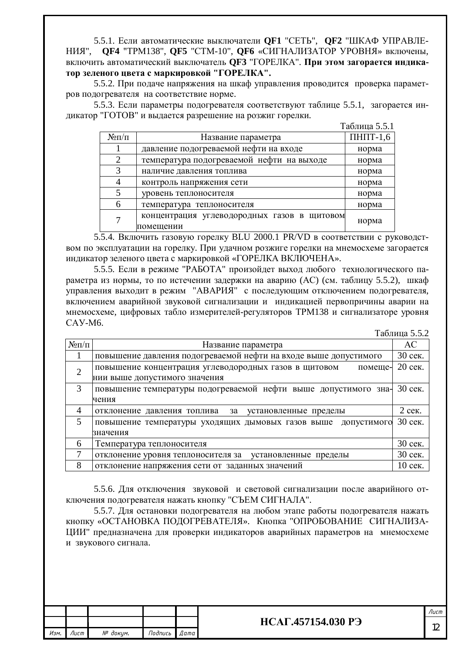5.5.1. Если автоматические выключатели **OF1** "СЕТЬ", **OF2** "ШКАФ УПРАВЛЕ-НИЯ", **QF4** "ТРМ138", **QF5** "СТМ-10", **QF6** «СИГНАЛИЗАТОР УРОВНЯ» включены, включить автоматический выключатель **QF3** "ГОРЕЛКА". При этом загорается индика- $\textbf{F}$ ор зеленого цвета с маркировкой "ГОРЕЛКА".

5.5.2. При подаче напряжения на шкаф управления проводится проверка параметров подогревателя на соответствие норме.

5.5.3. Если параметры подогревателя соответствуют таблице 5.5.1, загорается индикатор "ГОТОВ" и выдается разрешение на розжиг горелки.

|                              |                                                          | Таблица 5.5.1       |
|------------------------------|----------------------------------------------------------|---------------------|
| $N_{\rm}$ <sup>o</sup> $\Pi$ | Название параметра                                       | $\Pi$ H $\Pi$ T-1,6 |
|                              | давление подогреваемой нефти на входе                    | норма               |
| 2                            | температура подогреваемой нефти на выходе                | норма               |
| 3                            | наличие давления топлива                                 | норма               |
|                              | контроль напряжения сети                                 | норма               |
| 5                            | уровень теплоносителя                                    | норма               |
| 6                            | температура теплоносителя                                | норма               |
|                              | концентрация углеводородных газов в щитовом<br>помещении | норма               |

5.5.4. Включить газовую горелку BLU 2000.1 PR/VD в соответствии с руководством по эксплуатации на горелку. При удачном розжиге горелки на мнемосхеме загорается индикатор зеленого цвета с маркировкой «ГОРЕЛКА ВКЛЮЧЕНА».

5.5.5. Если в режиме "РАБОТА" произойдет выход любого технологического параметра из нормы, то по истечении задержки на аварию (АС) (см. таблицу 5.5.2), шкаф управления выходит в режим "АВАРИЯ" с последующим отключением подогревателя, включением аварийной звуковой сигнализации и индикацией первопричины аварии на мнемосхеме, цифровых табло измерителей-регуляторов ТРМ138 и сигнализаторе уровня CAY-M6.

Таблица 5.5.2

| $N \Omega/\Pi$ | Название параметра                                               | <b>AC</b> |  |  |  |  |  |  |  |  |
|----------------|------------------------------------------------------------------|-----------|--|--|--|--|--|--|--|--|
| 1              | повышение давления подогреваемой нефти на входе выше допустимого |           |  |  |  |  |  |  |  |  |
| $\overline{2}$ | повышение концентрация углеводородных газов в щитовом<br>помеще- |           |  |  |  |  |  |  |  |  |
|                | нии выше допустимого значения                                    |           |  |  |  |  |  |  |  |  |
| 3              | повышение температуры подогреваемой нефти выше допустимого зна-  | 30 сек.   |  |  |  |  |  |  |  |  |
|                | чения                                                            |           |  |  |  |  |  |  |  |  |
| 4              | отклонение давления топлива<br>за<br>установленные пределы       | $2$ сек.  |  |  |  |  |  |  |  |  |
| 5              | повышение температуры уходящих дымовых газов выше<br>ДОПУСТИМОГО | 30 сек.   |  |  |  |  |  |  |  |  |
|                | значения                                                         |           |  |  |  |  |  |  |  |  |
| 6              | Температура теплоносителя                                        | 30 сек.   |  |  |  |  |  |  |  |  |
| 7              | отклонение уровня теплоносителя за установленные пределы         | 30 сек.   |  |  |  |  |  |  |  |  |
| 8              | отклонение напряжения сети от заданных значений                  | 10 сек.   |  |  |  |  |  |  |  |  |

5.5.6. Для отключения звуковой и световой сигнализации после аварийного отключения подогревателя нажать кнопку "СЪЕМ СИГНАЛА".

5.5.7. Для остановки подогревателя на любом этапе работы подогревателя нажать кнопку «ОСТАНОВКА ПОДОГРЕВАТЕЛЯ». Кнопка "ОПРОБОВАНИЕ СИГНАЛИЗА-ЩИИ" предназначена для проверки индикаторов аварийных параметров на мнемосхеме и звукового сигнала.

| Изм. Пист | № доким. | Подпись Дата |  |
|-----------|----------|--------------|--|

# $\frac{1}{2}$  **HCAF.457154.030 P**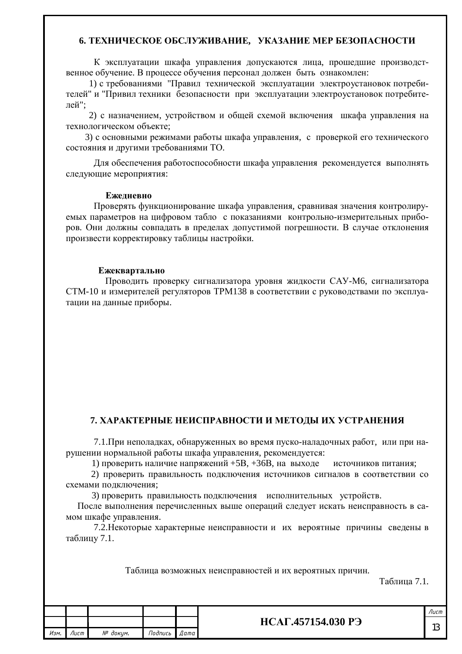### **6. ТЕХНИЧЕСКОЕ ОБСЛУЖИВАНИЕ, УКАЗАНИЕ МЕР БЕЗОПАСНОСТИ**

К эксплуатации шкафа управления допускаются лица, прошедшие производственное обучение. В процессе обучения персонал должен быть ознакомлен:

1) с требованиями "Правил технической эксплуатации электроустановок потребителей" и "Привил техники безопасности при эксплуатации электроустановок потребителей":

2) с назначением, устройством и общей схемой включения шкафа управления на технологическом объекте:

3) с основными режимами работы шкафа управления, с проверкой его технического состояния и другими требованиями ТО.

Для обеспечения работоспособности шкафа управления рекомендуется выполнять следующие мероприятия:

#### **Ежелневно**

Проверять функционирование шкафа управления, сравнивая значения контролируемых параметров на цифровом табло с показаниями контрольно-измерительных приборов. Они должны совпадать в пределах допустимой погрешности. В случае отклонения произвести корректировку таблицы настройки.

#### **Ежеквартально**

Проводить проверку сигнализатора уровня жидкости САУ-М6, сигнализатора СТМ-10 и измерителей регуляторов ТРМ138 в соответствии с руководствами по эксплуатации на данные приборы.

### **7. ХАРАКТЕРНЫЕ НЕИСПРАВНОСТИ И МЕТОДЫ ИХ УСТРАНЕНИЯ**

7.1. При неполадках, обнаруженных во время пуско-наладочных работ, или при нарушении нормальной работы шкафа управления, рекомендуется:

1) проверить наличие напряжений +5В, +36В, на выходе источников питания;

2) проверить правильность подключения источников сигналов в соответствии со схемами полключения:

3) проверить правильность подключения исполнительных устройств.

После выполнения перечисленных выше операций следует искать неисправность в самом шкафе управления.

7.2. Некоторые характерные неисправности и их вероятные причины сведены в таблицу 7.1.

Таблица возможных неисправностей и их вероятных причин.

Таблица 7.1.

| <b>НСАГ.4571:</b> |              |          |           |  |
|-------------------|--------------|----------|-----------|--|
|                   | Подпись Дата | № докум. | Изм. Лист |  |

 $\iint$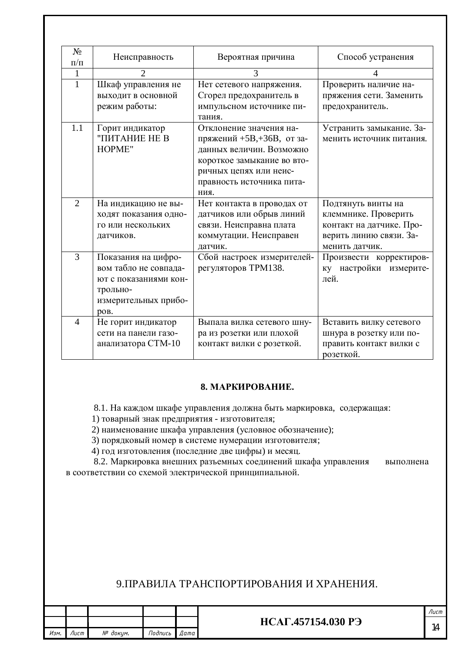| $N_2$<br>$\Pi/\Pi$ | Неисправность                                                                                                     | Вероятная причина                                                                                                                                                             | Способ устранения                                                                                                   |
|--------------------|-------------------------------------------------------------------------------------------------------------------|-------------------------------------------------------------------------------------------------------------------------------------------------------------------------------|---------------------------------------------------------------------------------------------------------------------|
| 1                  | $\overline{2}$                                                                                                    | 3                                                                                                                                                                             | 4                                                                                                                   |
| $\mathbf{1}$       | Шкаф управления не<br>выходит в основной<br>режим работы:                                                         | Нет сетевого напряжения.<br>Сгорел предохранитель в<br>импульсном источнике пи-<br>тания.                                                                                     | Проверить наличие на-<br>пряжения сети. Заменить<br>предохранитель.                                                 |
| 1.1                | Горит индикатор<br>"ПИТАНИЕ НЕ В<br>HOPME"                                                                        | Отклонение значения на-<br>пряжений +5B,+36B, от за-<br>данных величин. Возможно<br>короткое замыкание во вто-<br>ричных цепях или неис-<br>правность источника пита-<br>ния. | Устранить замыкание. За-<br>менить источник питания.                                                                |
| $\overline{2}$     | На индикацию не вы-<br>ходят показания одно-<br>го или нескольких<br>датчиков.                                    | Нет контакта в проводах от<br>датчиков или обрыв линий<br>связи. Неисправна плата<br>коммутации. Неисправен<br>датчик.                                                        | Подтянуть винты на<br>клеммнике. Проверить<br>контакт на датчике. Про-<br>верить линию связи. За-<br>менить датчик. |
| 3                  | Показания на цифро-<br>вом табло не совпада-<br>ют с показаниями кон-<br>трольно-<br>измерительных прибо-<br>ров. | Сбой настроек измерителей-<br>регуляторов ТРМ138.                                                                                                                             | Произвести корректиров-<br>ку настройки измерите-<br>лей.                                                           |
| $\overline{4}$     | Не горит индикатор<br>сети на панели газо-<br>анализатора СТМ-10                                                  | Выпала вилка сетевого шну-<br>ра из розетки или плохой<br>контакт вилки с розеткой.                                                                                           | Вставить вилку сетевого<br>шнура в розетку или по-<br>править контакт вилки с<br>розеткой.                          |

### **8. MAPKUPOBAHUE.**

8.1. На каждом шкафе управления должна быть маркировка, содержащая:

1) товарный знак предприятия - изготовителя;

2) наименование шкафа управления (условное обозначение);

3) порядковый номер в системе нумерации изготовителя;

4) год изготовления (последние две цифры) и месяц.

8.2. Маркировка внешних разъемных соединений шкафа управления выполнена в соответствии со схемой электрической принципиальной.

# 9. ПРАВИЛА ТРАНСПОРТИРОВАНИЯ И ХРАНЕНИЯ.

|      |      |          |         |        |                    | Лист |
|------|------|----------|---------|--------|--------------------|------|
|      |      |          |         |        | НСАГ.457154.030 РЭ |      |
| Изм. | Лист | № докцм. | Подпись | Дата I |                    | 14   |